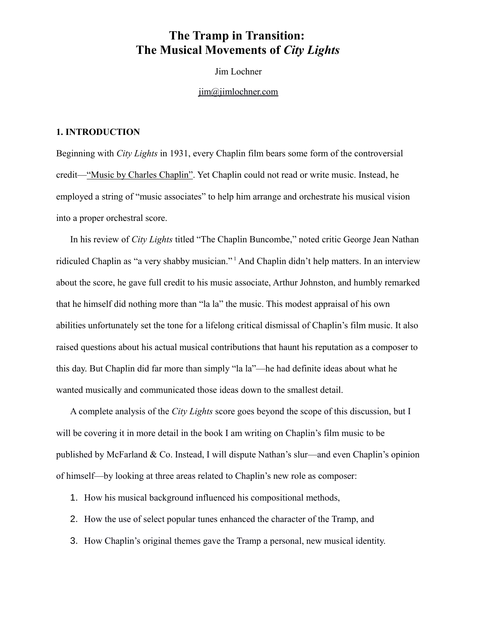# **The Tramp in Transition: The Musical Movements of** *City Lights*

Jim Lochner

[jim@jimlochner.com](mailto:jim@jimlochner.com)

### **1. INTRODUCTION**

Beginning with *City Lights* in 1931, every Chaplin film bears some form of the controversial credit—"Music by Charles Chaplin". Yet Chaplin could not read or write music. Instead, he employed a string of "music associates" to help him arrange and orchestrate his musical vision into a proper orchestral score.

In his review of *City Lights* titled "The Chaplin Buncombe," noted critic George Jean Nathan ridiculed Chaplin as "a very shabby musician." [1](#page-12-0) And Chaplin didn't help matters. In an interview about the score, he gave full credit to his music associate, Arthur Johnston, and humbly remarked that he himself did nothing more than "la la" the music. This modest appraisal of his own abilities unfortunately set the tone for a lifelong critical dismissal of Chaplin's film music. It also raised questions about his actual musical contributions that haunt his reputation as a composer to this day. But Chaplin did far more than simply "la la"—he had definite ideas about what he wanted musically and communicated those ideas down to the smallest detail.

A complete analysis of the *City Lights* score goes beyond the scope of this discussion, but I will be covering it in more detail in the book I am writing on Chaplin's film music to be published by McFarland & Co. Instead, I will dispute Nathan's slur—and even Chaplin's opinion of himself—by looking at three areas related to Chaplin's new role as composer:

- 1. How his musical background influenced his compositional methods,
- 2. How the use of select popular tunes enhanced the character of the Tramp, and
- 3. How Chaplin's original themes gave the Tramp a personal, new musical identity.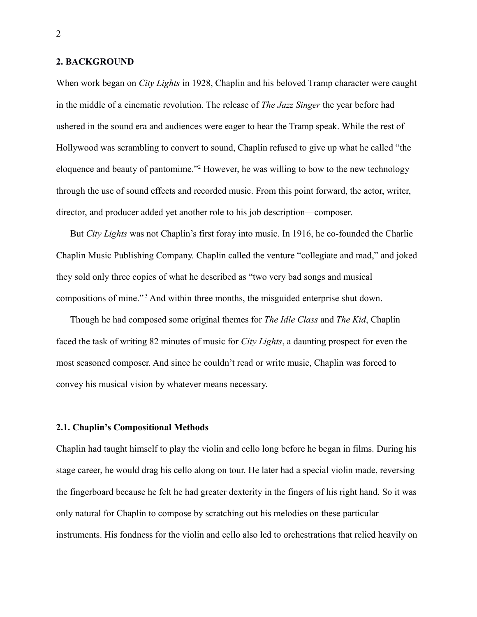#### **2. BACKGROUND**

When work began on *City Lights* in 1928, Chaplin and his beloved Tramp character were caught in the middle of a cinematic revolution. The release of *The Jazz Singer* the year before had ushered in the sound era and audiences were eager to hear the Tramp speak. While the rest of Hollywood was scrambling to convert to sound, Chaplin refused to give up what he called "the eloquence and beauty of pantomime."[2](#page-12-1) However, he was willing to bow to the new technology through the use of sound effects and recorded music. From this point forward, the actor, writer, director, and producer added yet another role to his job description—composer.

But *City Lights* was not Chaplin's first foray into music. In 1916, he co-founded the Charlie Chaplin Music Publishing Company. Chaplin called the venture "collegiate and mad," and joked they sold only three copies of what he described as "two very bad songs and musical compositions of mine."<sup>[3](#page-12-2)</sup> And within three months, the misguided enterprise shut down.

Though he had composed some original themes for *The Idle Class* and *The Kid*, Chaplin faced the task of writing 82 minutes of music for *City Lights*, a daunting prospect for even the most seasoned composer. And since he couldn't read or write music, Chaplin was forced to convey his musical vision by whatever means necessary.

#### **2.1. Chaplin's Compositional Methods**

Chaplin had taught himself to play the violin and cello long before he began in films. During his stage career, he would drag his cello along on tour. He later had a special violin made, reversing the fingerboard because he felt he had greater dexterity in the fingers of his right hand. So it was only natural for Chaplin to compose by scratching out his melodies on these particular instruments. His fondness for the violin and cello also led to orchestrations that relied heavily on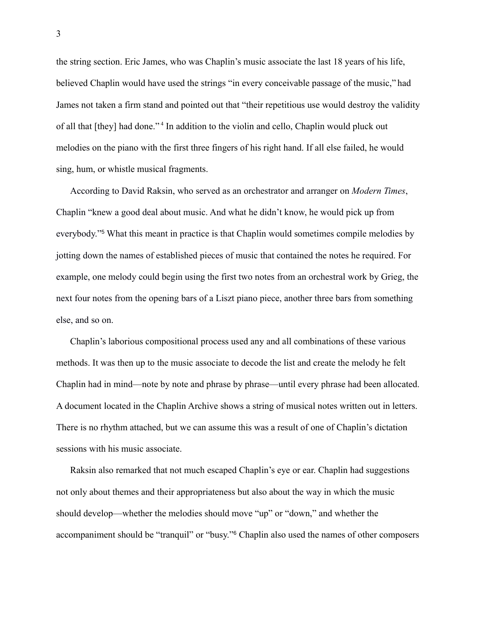the string section. Eric James, who was Chaplin's music associate the last 18 years of his life, believed Chaplin would have used the strings "in every conceivable passage of the music," had James not taken a firm stand and pointed out that "their repetitious use would destroy the validity of all that [they] had done."<sup>[4](#page-12-3)</sup> In addition to the violin and cello, Chaplin would pluck out melodies on the piano with the first three fingers of his right hand. If all else failed, he would sing, hum, or whistle musical fragments.

According to David Raksin, who served as an orchestrator and arranger on *Modern Times*, Chaplin "knew a good deal about music. And what he didn't know, he would pick up from everybody."<sup>[5](#page-12-4)</sup> What this meant in practice is that Chaplin would sometimes compile melodies by jotting down the names of established pieces of music that contained the notes he required. For example, one melody could begin using the first two notes from an orchestral work by Grieg, the next four notes from the opening bars of a Liszt piano piece, another three bars from something else, and so on.

Chaplin's laborious compositional process used any and all combinations of these various methods. It was then up to the music associate to decode the list and create the melody he felt Chaplin had in mind—note by note and phrase by phrase—until every phrase had been allocated. A document located in the Chaplin Archive shows a string of musical notes written out in letters. There is no rhythm attached, but we can assume this was a result of one of Chaplin's dictation sessions with his music associate.

Raksin also remarked that not much escaped Chaplin's eye or ear. Chaplin had suggestions not only about themes and their appropriateness but also about the way in which the music should develop—whether the melodies should move "up" or "down," and whether the accompaniment should be "tranquil" or "busy."[6](#page-12-5) Chaplin also used the names of other composers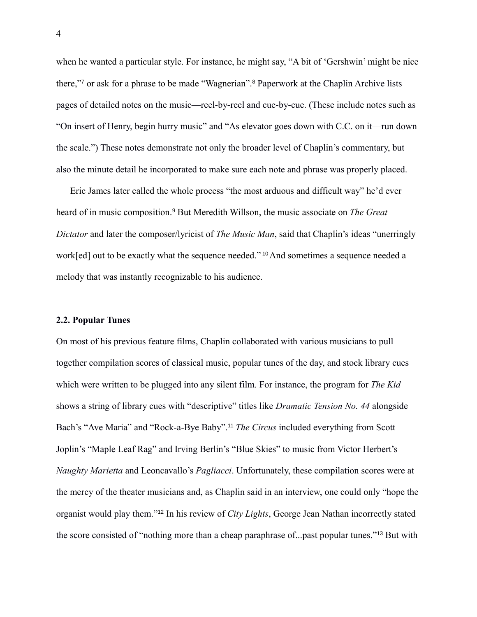when he wanted a particular style. For instance, he might say, "A bit of 'Gershwin' might be nice there,"[7](#page-12-6) or ask for a phrase to be made "Wagnerian".[8](#page-12-7) Paperwork at the Chaplin Archive lists pages of detailed notes on the music—reel-by-reel and cue-by-cue. (These include notes such as "On insert of Henry, begin hurry music" and "As elevator goes down with C.C. on it—run down the scale.") These notes demonstrate not only the broader level of Chaplin's commentary, but also the minute detail he incorporated to make sure each note and phrase was properly placed.

Eric James later called the whole process "the most arduous and difficult way" he'd ever heard of in music composition.<sup>[9](#page-12-8)</sup> But Meredith Willson, the music associate on *The Great Dictator* and later the composer/lyricist of *The Music Man*, said that Chaplin's ideas "unerringly work[ed] out to be exactly what the sequence needed." <sup>[10](#page-12-9)</sup> And sometimes a sequence needed a melody that was instantly recognizable to his audience.

#### **2.2. Popular Tunes**

On most of his previous feature films, Chaplin collaborated with various musicians to pull together compilation scores of classical music, popular tunes of the day, and stock library cues which were written to be plugged into any silent film. For instance, the program for *The Kid* shows a string of library cues with "descriptive" titles like *Dramatic Tension No. 44* alongside Bach's "Ave Maria" and "Rock-a-Bye Baby".[11](#page-12-10) *The Circus* included everything from Scott Joplin's "Maple Leaf Rag" and Irving Berlin's "Blue Skies" to music from Victor Herbert's *Naughty Marietta* and Leoncavallo's *Pagliacci*. Unfortunately, these compilation scores were at the mercy of the theater musicians and, as Chaplin said in an interview, one could only "hope the organist would play them."[12](#page-12-11) In his review of *City Lights*, George Jean Nathan incorrectly stated the score consisted of "nothing more than a cheap paraphrase of...past popular tunes."[13](#page-12-12) But with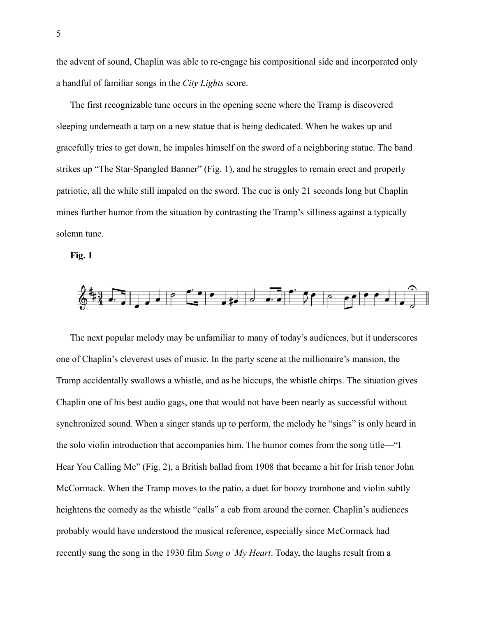the advent of sound, Chaplin was able to re-engage his compositional side and incorporated only a handful of familiar songs in the *City Lights* score.

The first recognizable tune occurs in the opening scene where the Tramp is discovered sleeping underneath a tarp on a new statue that is being dedicated. When he wakes up and gracefully tries to get down, he impales himself on the sword of a neighboring statue. The band strikes up "The Star-Spangled Banner" (Fig. 1), and he struggles to remain erect and properly patriotic, all the while still impaled on the sword. The cue is only 21 seconds long but Chaplin mines further humor from the situation by contrasting the Tramp's silliness against a typically solemn tune.





The next popular melody may be unfamiliar to many of today's audiences, but it underscores one of Chaplin's cleverest uses of music. In the party scene at the millionaire's mansion, the Tramp accidentally swallows a whistle, and as he hiccups, the whistle chirps. The situation gives Chaplin one of his best audio gags, one that would not have been nearly as successful without synchronized sound. When a singer stands up to perform, the melody he "sings" is only heard in the solo violin introduction that accompanies him. The humor comes from the song title—"I Hear You Calling Me" (Fig. 2), a British ballad from 1908 that became a hit for Irish tenor John McCormack. When the Tramp moves to the patio, a duet for boozy trombone and violin subtly heightens the comedy as the whistle "calls" a cab from around the corner. Chaplin's audiences probably would have understood the musical reference, especially since McCormack had recently sung the song in the 1930 film *Song o' My Heart*. Today, the laughs result from a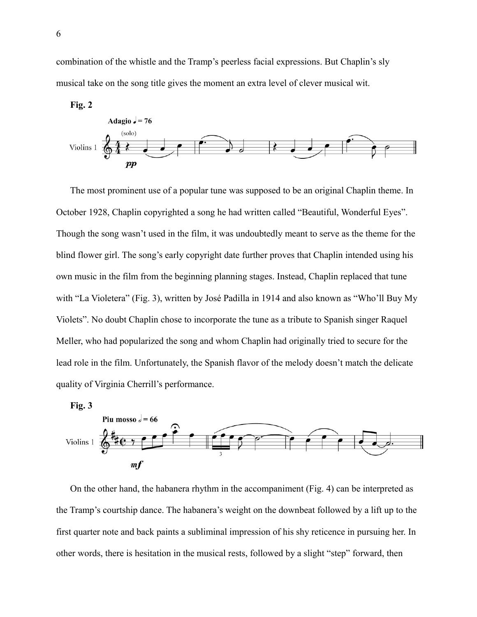combination of the whistle and the Tramp's peerless facial expressions. But Chaplin's sly musical take on the song title gives the moment an extra level of clever musical wit.



The most prominent use of a popular tune was supposed to be an original Chaplin theme. In October 1928, Chaplin copyrighted a song he had written called "Beautiful, Wonderful Eyes". Though the song wasn't used in the film, it was undoubtedly meant to serve as the theme for the blind flower girl. The song's early copyright date further proves that Chaplin intended using his own music in the film from the beginning planning stages. Instead, Chaplin replaced that tune with "La Violetera" (Fig. 3), written by José Padilla in 1914 and also known as "Who'll Buy My Violets". No doubt Chaplin chose to incorporate the tune as a tribute to Spanish singer Raquel Meller, who had popularized the song and whom Chaplin had originally tried to secure for the lead role in the film. Unfortunately, the Spanish flavor of the melody doesn't match the delicate quality of Virginia Cherrill's performance.





On the other hand, the habanera rhythm in the accompaniment (Fig. 4) can be interpreted as the Tramp's courtship dance. The habanera's weight on the downbeat followed by a lift up to the first quarter note and back paints a subliminal impression of his shy reticence in pursuing her. In other words, there is hesitation in the musical rests, followed by a slight "step" forward, then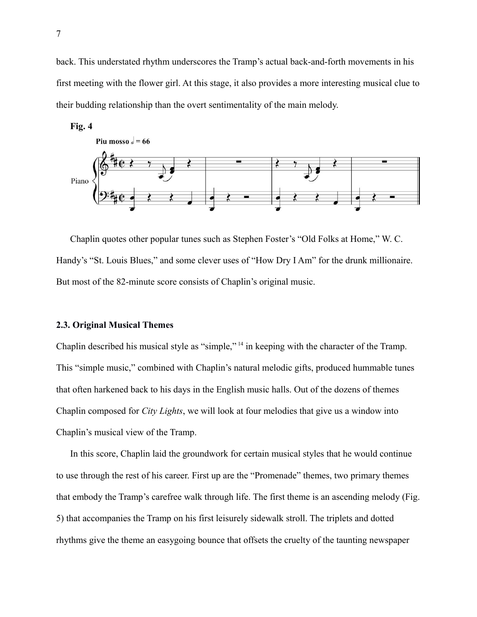back. This understated rhythm underscores the Tramp's actual back-and-forth movements in his first meeting with the flower girl. At this stage, it also provides a more interesting musical clue to their budding relationship than the overt sentimentality of the main melody.



Chaplin quotes other popular tunes such as Stephen Foster's "Old Folks at Home," W. C. Handy's "St. Louis Blues," and some clever uses of "How Dry I Am" for the drunk millionaire. But most of the 82-minute score consists of Chaplin's original music.

### **2.3. Original Musical Themes**

Chaplin described his musical style as "simple," [14](#page-12-13) in keeping with the character of the Tramp. This "simple music," combined with Chaplin's natural melodic gifts, produced hummable tunes that often harkened back to his days in the English music halls. Out of the dozens of themes Chaplin composed for *City Lights*, we will look at four melodies that give us a window into Chaplin's musical view of the Tramp.

In this score, Chaplin laid the groundwork for certain musical styles that he would continue to use through the rest of his career. First up are the "Promenade" themes, two primary themes that embody the Tramp's carefree walk through life. The first theme is an ascending melody (Fig. 5) that accompanies the Tramp on his first leisurely sidewalk stroll. The triplets and dotted rhythms give the theme an easygoing bounce that offsets the cruelty of the taunting newspaper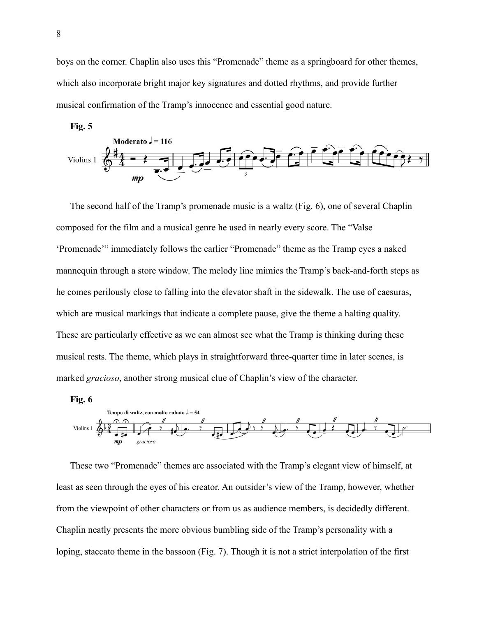boys on the corner. Chaplin also uses this "Promenade" theme as a springboard for other themes, which also incorporate bright major key signatures and dotted rhythms, and provide further musical confirmation of the Tramp's innocence and essential good nature.





The second half of the Tramp's promenade music is a waltz (Fig. 6), one of several Chaplin composed for the film and a musical genre he used in nearly every score. The "Valse 'Promenade'" immediately follows the earlier "Promenade" theme as the Tramp eyes a naked mannequin through a store window. The melody line mimics the Tramp's back-and-forth steps as he comes perilously close to falling into the elevator shaft in the sidewalk. The use of caesuras, which are musical markings that indicate a complete pause, give the theme a halting quality. These are particularly effective as we can almost see what the Tramp is thinking during these musical rests. The theme, which plays in straightforward three-quarter time in later scenes, is marked *gracioso*, another strong musical clue of Chaplin's view of the character.

#### **Fig. 6**



These two "Promenade" themes are associated with the Tramp's elegant view of himself, at least as seen through the eyes of his creator. An outsider's view of the Tramp, however, whether from the viewpoint of other characters or from us as audience members, is decidedly different. Chaplin neatly presents the more obvious bumbling side of the Tramp's personality with a loping, staccato theme in the bassoon (Fig. 7). Though it is not a strict interpolation of the first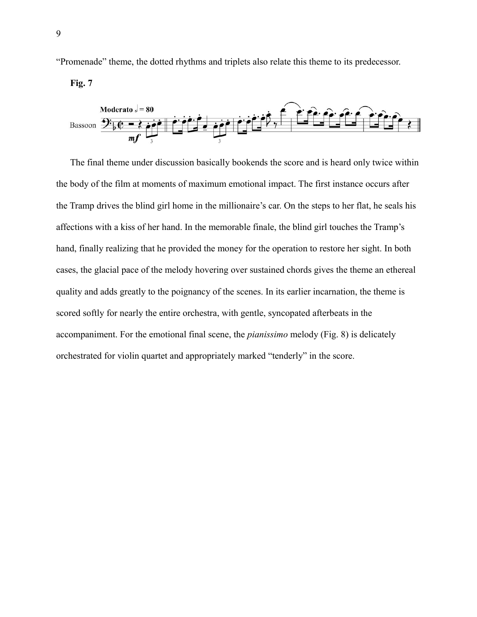"Promenade" theme, the dotted rhythms and triplets also relate this theme to its predecessor.

**Fig. 7**



The final theme under discussion basically bookends the score and is heard only twice within the body of the film at moments of maximum emotional impact. The first instance occurs after the Tramp drives the blind girl home in the millionaire's car. On the steps to her flat, he seals his affections with a kiss of her hand. In the memorable finale, the blind girl touches the Tramp's hand, finally realizing that he provided the money for the operation to restore her sight. In both cases, the glacial pace of the melody hovering over sustained chords gives the theme an ethereal quality and adds greatly to the poignancy of the scenes. In its earlier incarnation, the theme is scored softly for nearly the entire orchestra, with gentle, syncopated afterbeats in the accompaniment. For the emotional final scene, the *pianissimo* melody (Fig. 8) is delicately orchestrated for violin quartet and appropriately marked "tenderly" in the score.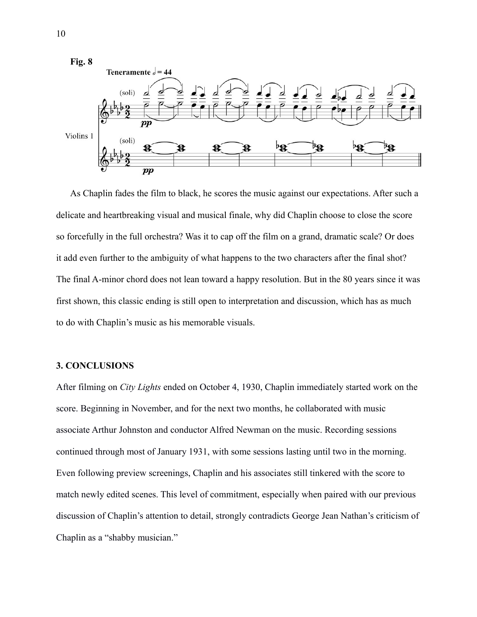

As Chaplin fades the film to black, he scores the music against our expectations. After such a delicate and heartbreaking visual and musical finale, why did Chaplin choose to close the score so forcefully in the full orchestra? Was it to cap off the film on a grand, dramatic scale? Or does it add even further to the ambiguity of what happens to the two characters after the final shot? The final A-minor chord does not lean toward a happy resolution. But in the 80 years since it was first shown, this classic ending is still open to interpretation and discussion, which has as much to do with Chaplin's music as his memorable visuals.

## **3. CONCLUSIONS**

After filming on *City Lights* ended on October 4, 1930, Chaplin immediately started work on the score. Beginning in November, and for the next two months, he collaborated with music associate Arthur Johnston and conductor Alfred Newman on the music. Recording sessions continued through most of January 1931, with some sessions lasting until two in the morning. Even following preview screenings, Chaplin and his associates still tinkered with the score to match newly edited scenes. This level of commitment, especially when paired with our previous discussion of Chaplin's attention to detail, strongly contradicts George Jean Nathan's criticism of Chaplin as a "shabby musician."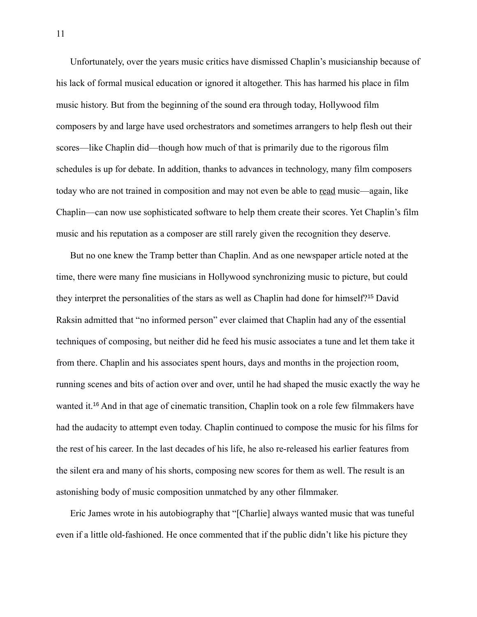Unfortunately, over the years music critics have dismissed Chaplin's musicianship because of his lack of formal musical education or ignored it altogether. This has harmed his place in film music history. But from the beginning of the sound era through today, Hollywood film composers by and large have used orchestrators and sometimes arrangers to help flesh out their scores—like Chaplin did—though how much of that is primarily due to the rigorous film schedules is up for debate. In addition, thanks to advances in technology, many film composers today who are not trained in composition and may not even be able to read music—again, like Chaplin—can now use sophisticated software to help them create their scores. Yet Chaplin's film music and his reputation as a composer are still rarely given the recognition they deserve.

But no one knew the Tramp better than Chaplin. And as one newspaper article noted at the time, there were many fine musicians in Hollywood synchronizing music to picture, but could they interpret the personalities of the stars as well as Chaplin had done for himself?[15](#page-12-14) David Raksin admitted that "no informed person" ever claimed that Chaplin had any of the essential techniques of composing, but neither did he feed his music associates a tune and let them take it from there. Chaplin and his associates spent hours, days and months in the projection room, running scenes and bits of action over and over, until he had shaped the music exactly the way he wanted it.[16](#page-12-15) And in that age of cinematic transition, Chaplin took on a role few filmmakers have had the audacity to attempt even today. Chaplin continued to compose the music for his films for the rest of his career. In the last decades of his life, he also re-released his earlier features from the silent era and many of his shorts, composing new scores for them as well. The result is an astonishing body of music composition unmatched by any other filmmaker.

Eric James wrote in his autobiography that "[Charlie] always wanted music that was tuneful even if a little old-fashioned. He once commented that if the public didn't like his picture they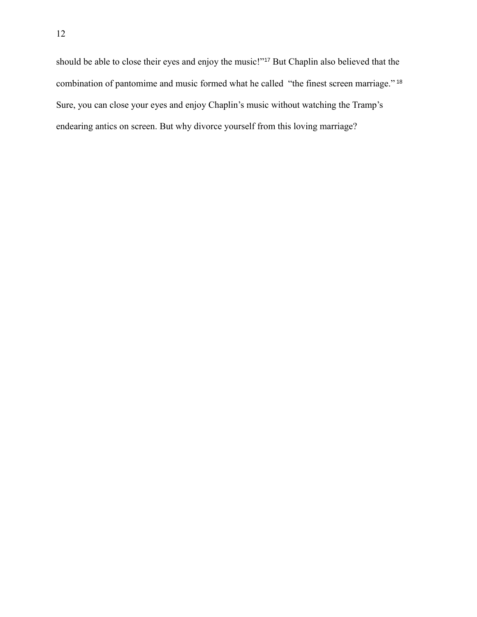should be able to close their eyes and enjoy the music!"[17](#page-12-16) But Chaplin also believed that the combination of pantomime and music formed what he called "the finest screen marriage." [18](#page-13-0) Sure, you can close your eyes and enjoy Chaplin's music without watching the Tramp's endearing antics on screen. But why divorce yourself from this loving marriage?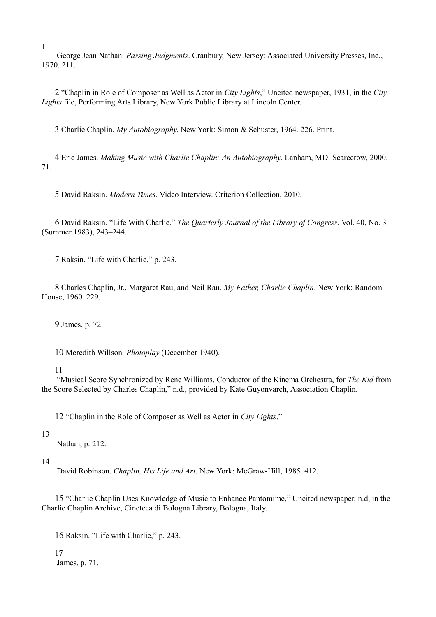<span id="page-12-1"></span> George Jean Nathan. *Passing Judgments*. Cranbury, New Jersey: Associated University Presses, Inc., 1970. 211.

<span id="page-12-2"></span>2 "Chaplin in Role of Composer as Well as Actor in *City Lights*," Uncited newspaper, 1931, in the *City Lights* file, Performing Arts Library, New York Public Library at Lincoln Center.

<span id="page-12-3"></span>3 Charlie Chaplin. *My Autobiography*. New York: Simon & Schuster, 1964. 226. Print.

<span id="page-12-4"></span>4 Eric James. *Making Music with Charlie Chaplin: An Autobiography*. Lanham, MD: Scarecrow, 2000. 71.

<span id="page-12-5"></span>5 David Raksin. *Modern Times*. Video Interview. Criterion Collection, 2010.

<span id="page-12-6"></span>6 David Raksin. "Life With Charlie." *The Quarterly Journal of the Library of Congress*, Vol. 40, No. 3 (Summer 1983), 243–244.

<span id="page-12-7"></span>7 Raksin. "Life with Charlie," p. 243.

<span id="page-12-8"></span>8 Charles Chaplin, Jr., Margaret Rau, and Neil Rau. *My Father, Charlie Chaplin*. New York: Random House, 1960. 229.

<span id="page-12-10"></span><span id="page-12-9"></span>9 James, p. 72.

10 Meredith Willson. *Photoplay* (December 1940).

#### <span id="page-12-11"></span>11

<span id="page-12-12"></span> "Musical Score Synchronized by Rene Williams, Conductor of the Kinema Orchestra, for *The Kid* from the Score Selected by Charles Chaplin," n.d., provided by Kate Guyonvarch, Association Chaplin.

<span id="page-12-13"></span>12 "Chaplin in the Role of Composer as Well as Actor in *City Lights*."

#### 13

Nathan, p. 212.

#### 14

<span id="page-12-14"></span>David Robinson. *Chaplin, His Life and Art*. New York: McGraw-Hill, 1985. 412.

<span id="page-12-15"></span>15 "Charlie Chaplin Uses Knowledge of Music to Enhance Pantomime," Uncited newspaper, n.d, in the Charlie Chaplin Archive, Cineteca di Bologna Library, Bologna, Italy.

<span id="page-12-16"></span>16 Raksin. "Life with Charlie," p. 243.

17 James, p. 71.

<span id="page-12-0"></span>1